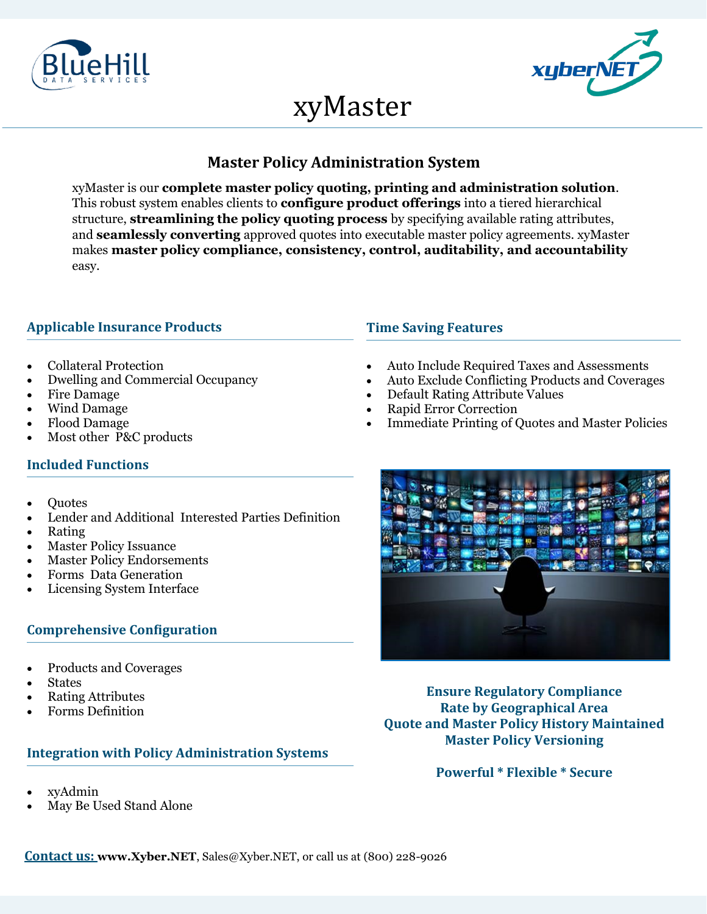



# xyMaster

# **Master Policy Administration System**

xyMaster is our **complete master policy quoting, printing and administration solution**. This robust system enables clients to **configure product offerings** into a tiered hierarchical structure, **streamlining the policy quoting process** by specifying available rating attributes, and **seamlessly converting** approved quotes into executable master policy agreements. xyMaster makes **master policy compliance, consistency, control, auditability, and accountability**  easy.

### **Applicable Insurance Products**

- Collateral Protection
- Dwelling and Commercial Occupancy
- Fire Damage
- Wind Damage
- Flood Damage
- Most other P&C products

#### **Time Saving Features**

- Auto Include Required Taxes and Assessments
- Auto Exclude Conflicting Products and Coverages
- Default Rating Attribute Values
- Rapid Error Correction
- Immediate Printing of Quotes and Master Policies

## **Included Functions**

- Quotes
- Lender and Additional Interested Parties Definition
- Rating
- **Master Policy Issuance**
- Master Policy Endorsements
- Forms Data Generation
- Licensing System Interface

#### **Comprehensive Configuration**

- Products and Coverages
- **States**
- Rating Attributes
- Forms Definition

#### **Integration with Policy Administration Systems**

- xyAdmin
- May Be Used Stand Alone



**Ensure Regulatory Compliance Rate by Geographical Area Quote and Master Policy History Maintained Master Policy Versioning**

**Powerful \* Flexible \* Secure**